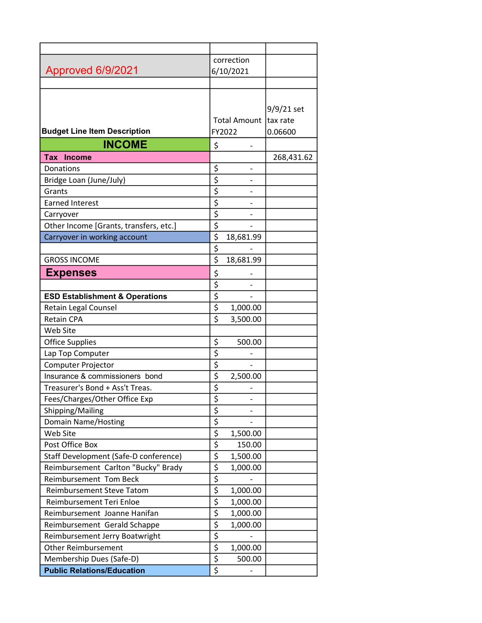|                                           | correction                                              |                         |            |
|-------------------------------------------|---------------------------------------------------------|-------------------------|------------|
| Approved 6/9/2021                         |                                                         | 6/10/2021               |            |
|                                           |                                                         |                         |            |
|                                           |                                                         |                         |            |
|                                           |                                                         |                         | 9/9/21 set |
|                                           |                                                         | Total Amount   tax rate |            |
| <b>Budget Line Item Description</b>       |                                                         | FY2022                  | 0.06600    |
| <b>INCOME</b>                             | \$                                                      |                         |            |
| Tax Income                                |                                                         |                         | 268,431.62 |
| Donations                                 | \$                                                      |                         |            |
| Bridge Loan (June/July)                   | \$                                                      |                         |            |
| Grants                                    | \$                                                      |                         |            |
| <b>Earned Interest</b>                    | $\overline{\boldsymbol{\varsigma}}$                     |                         |            |
| Carryover                                 | \$                                                      |                         |            |
| Other Income [Grants, transfers, etc.]    | \$                                                      |                         |            |
| Carryover in working account              | \$                                                      | 18,681.99               |            |
|                                           | \$                                                      |                         |            |
| <b>GROSS INCOME</b>                       | $\overline{\boldsymbol{\varsigma}}$                     | 18,681.99               |            |
| <b>Expenses</b>                           | \$                                                      |                         |            |
|                                           | \$                                                      |                         |            |
| <b>ESD Establishment &amp; Operations</b> | \$                                                      |                         |            |
| Retain Legal Counsel                      | \$                                                      | 1,000.00                |            |
| <b>Retain CPA</b>                         | $\overline{\boldsymbol{\zeta}}$                         | 3,500.00                |            |
| Web Site                                  |                                                         |                         |            |
| <b>Office Supplies</b>                    | \$                                                      | 500.00                  |            |
| Lap Top Computer                          | \$                                                      |                         |            |
| Computer Projector                        | \$                                                      |                         |            |
| Insurance & commissioners bond            | \$                                                      | 2,500.00                |            |
| Treasurer's Bond + Ass't Treas.           | $\overline{\varsigma}$                                  |                         |            |
| Fees/Charges/Other Office Exp             | \$                                                      |                         |            |
| Shipping/Mailing                          | $\overline{\xi}$                                        |                         |            |
| Domain Name/Hosting                       | $\overline{\xi}$                                        |                         |            |
| Web Site                                  | $\overline{\xi}$                                        | 1,500.00                |            |
| Post Office Box                           | $\overline{\xi}$                                        | 150.00                  |            |
| Staff Development (Safe-D conference)     | $\overline{\boldsymbol{\zeta}}$                         | 1,500.00                |            |
| Reimbursement Carlton "Bucky" Brady       | \$                                                      | 1,000.00                |            |
| Reimbursement Tom Beck                    | \$                                                      |                         |            |
| <b>Reimbursement Steve Tatom</b>          | \$                                                      | 1,000.00                |            |
| Reimbursement Teri Enloe                  | \$                                                      | 1,000.00                |            |
| Reimbursement Joanne Hanifan              | $\overline{\xi}$<br>\$                                  | 1,000.00                |            |
| Reimbursement Gerald Schappe              |                                                         | 1,000.00                |            |
| Reimbursement Jerry Boatwright            | $\overline{\boldsymbol{\varsigma}}$<br>$\overline{\xi}$ |                         |            |
| <b>Other Reimbursement</b>                | $\overline{\xi}$                                        | 1,000.00                |            |
| Membership Dues (Safe-D)                  | $\overline{\xi}$                                        | 500.00                  |            |
| <b>Public Relations/Education</b>         |                                                         |                         |            |